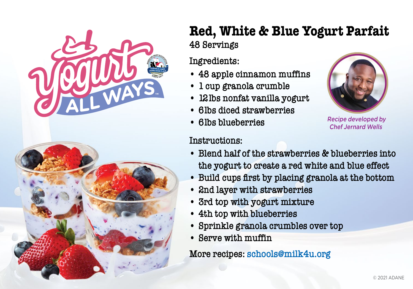

## **Red, White & Blue Yogurt Parfait 48 Servings**

#### **Ingredients:**

- **• 48 apple cinnamon muffins**
- **• 1 cup granola crumble**
- **• 12lbs nonfat vanilla yogurt**
- **• 6lbs diced strawberries**
- **• 6lbs blueberries**

### **Instructions:**



 Recipe developed by Chef Jernard Wells

- **Blend half of the strawberries & blueberries into the yogurt to create a red white and blue effect**
- **• Build cups first by placing granola at the bottom**
- **• 2nd layer with strawberries**
- **• 3rd top with yogurt mixture**
- **• 4th top with blueberries**
- **• Sprinkle granola crumbles over top**
- **• Serve with muffin**

**More recipes: schools@milk4u.org**